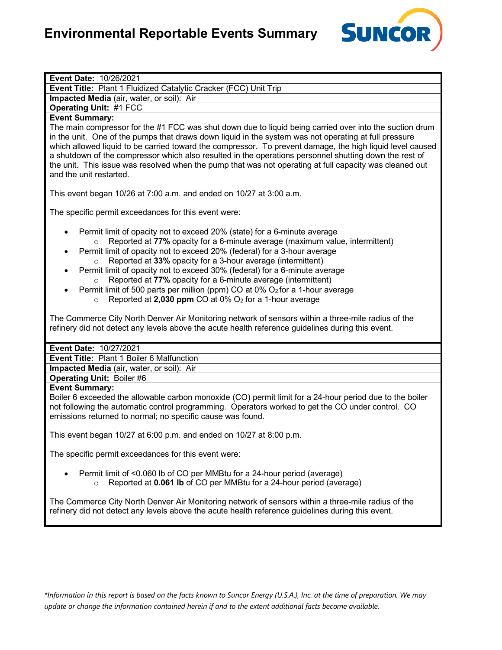

### **Event Date:** 10/26/2021

**Event Title:** Plant 1 Fluidized Catalytic Cracker (FCC) Unit Trip

**Impacted Media** (air, water, or soil): Air

**Operating Unit:** #1 FCC

## **Event Summary:**

The main compressor for the #1 FCC was shut down due to liquid being carried over into the suction drum in the unit. One of the pumps that draws down liquid in the system was not operating at full pressure which allowed liquid to be carried toward the compressor. To prevent damage, the high liquid level caused a shutdown of the compressor which also resulted in the operations personnel shutting down the rest of the unit. This issue was resolved when the pump that was not operating at full capacity was cleaned out and the unit restarted.

This event began 10/26 at 7:00 a.m. and ended on 10/27 at 3:00 a.m.

The specific permit exceedances for this event were:

- Permit limit of opacity not to exceed 20% (state) for a 6-minute average o Reported at **77%** opacity for a 6-minute average (maximum value, intermittent)
- Permit limit of opacity not to exceed 20% (federal) for a 3-hour average o Reported at **33%** opacity for a 3-hour average (intermittent)
- Permit limit of opacity not to exceed 30% (federal) for a 6-minute average o Reported at **77%** opacity for a 6-minute average (intermittent)
- Permit limit of 500 parts per million (ppm) CO at  $0\%$  O<sub>2</sub> for a 1-hour average
	- o Reported at **2,030 ppm** CO at 0% O2 for a 1-hour average

The Commerce City North Denver Air Monitoring network of sensors within a three-mile radius of the refinery did not detect any levels above the acute health reference guidelines during this event.

#### **Event Date:** 10/27/2021

**Event Title:** Plant 1 Boiler 6 Malfunction

**Impacted Media** (air, water, or soil): Air

## **Operating Unit:** Boiler #6

### **Event Summary:**

Boiler 6 exceeded the allowable carbon monoxide (CO) permit limit for a 24-hour period due to the boiler not following the automatic control programming. Operators worked to get the CO under control. CO emissions returned to normal; no specific cause was found.

This event began 10/27 at 6:00 p.m. and ended on 10/27 at 8:00 p.m.

The specific permit exceedances for this event were:

- Permit limit of <0.060 lb of CO per MMBtu for a 24-hour period (average)
	- o Reported at **0.061 lb** of CO per MMBtu for a 24-hour period (average)

The Commerce City North Denver Air Monitoring network of sensors within a three-mile radius of the refinery did not detect any levels above the acute health reference guidelines during this event.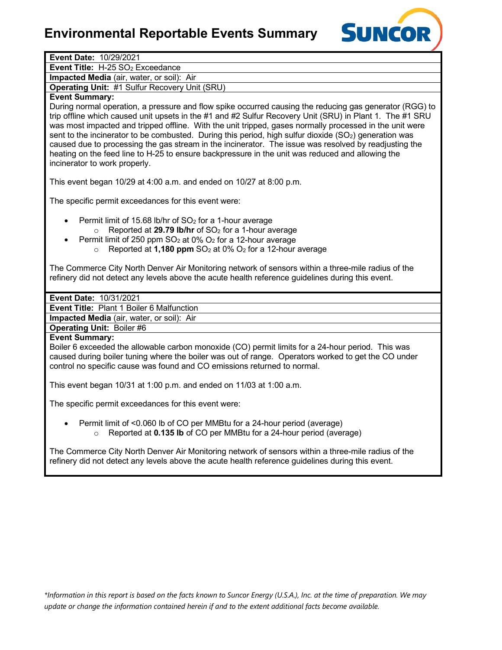# **Environmental Reportable Events Summary**



| Event Date: 10/29/2021                                                                                                                                                                                                                                                                                                                                                                                                                                                                                                                                                                                                                                                                             |
|----------------------------------------------------------------------------------------------------------------------------------------------------------------------------------------------------------------------------------------------------------------------------------------------------------------------------------------------------------------------------------------------------------------------------------------------------------------------------------------------------------------------------------------------------------------------------------------------------------------------------------------------------------------------------------------------------|
| Event Title: H-25 SO <sub>2</sub> Exceedance                                                                                                                                                                                                                                                                                                                                                                                                                                                                                                                                                                                                                                                       |
| Impacted Media (air, water, or soil): Air                                                                                                                                                                                                                                                                                                                                                                                                                                                                                                                                                                                                                                                          |
| <b>Operating Unit: #1 Sulfur Recovery Unit (SRU)</b>                                                                                                                                                                                                                                                                                                                                                                                                                                                                                                                                                                                                                                               |
| <b>Event Summary:</b>                                                                                                                                                                                                                                                                                                                                                                                                                                                                                                                                                                                                                                                                              |
| During normal operation, a pressure and flow spike occurred causing the reducing gas generator (RGG) to<br>trip offline which caused unit upsets in the #1 and #2 Sulfur Recovery Unit (SRU) in Plant 1. The #1 SRU<br>was most impacted and tripped offline. With the unit tripped, gases normally processed in the unit were<br>sent to the incinerator to be combusted. During this period, high sulfur dioxide (SO <sub>2</sub> ) generation was<br>caused due to processing the gas stream in the incinerator. The issue was resolved by readjusting the<br>heating on the feed line to H-25 to ensure backpressure in the unit was reduced and allowing the<br>incinerator to work properly. |
| This event began 10/29 at 4:00 a.m. and ended on 10/27 at 8:00 p.m.                                                                                                                                                                                                                                                                                                                                                                                                                                                                                                                                                                                                                                |
| The specific permit exceedances for this event were:                                                                                                                                                                                                                                                                                                                                                                                                                                                                                                                                                                                                                                               |
| Permit limit of 15.68 lb/hr of SO <sub>2</sub> for a 1-hour average<br>Reported at 29.79 lb/hr of SO <sub>2</sub> for a 1-hour average<br>Permit limit of 250 ppm SO <sub>2</sub> at 0% O <sub>2</sub> for a 12-hour average<br>Reported at 1,180 ppm $SO2$ at 0% $O2$ for a 12-hour average<br>$\circ$                                                                                                                                                                                                                                                                                                                                                                                            |
| The Commerce City North Denver Air Monitoring network of sensors within a three-mile radius of the<br>refinery did not detect any levels above the acute health reference guidelines during this event.                                                                                                                                                                                                                                                                                                                                                                                                                                                                                            |
| Event Date: 10/31/2021                                                                                                                                                                                                                                                                                                                                                                                                                                                                                                                                                                                                                                                                             |
| Event Title: Plant 1 Boiler 6 Malfunction                                                                                                                                                                                                                                                                                                                                                                                                                                                                                                                                                                                                                                                          |
| Impacted Media (air, water, or soil): Air                                                                                                                                                                                                                                                                                                                                                                                                                                                                                                                                                                                                                                                          |
| <b>Operating Unit: Boiler #6</b>                                                                                                                                                                                                                                                                                                                                                                                                                                                                                                                                                                                                                                                                   |
| <b>Event Summary:</b><br>Boiler 6 exceeded the allowable carbon monoxide (CO) permit limits for a 24-hour period. This was<br>caused during boiler tuning where the boiler was out of range. Operators worked to get the CO under<br>control no specific cause was found and CO emissions returned to normal.                                                                                                                                                                                                                                                                                                                                                                                      |
| This event began 10/31 at 1:00 p.m. and ended on 11/03 at 1:00 a.m.                                                                                                                                                                                                                                                                                                                                                                                                                                                                                                                                                                                                                                |
| The specific permit exceedances for this event were:                                                                                                                                                                                                                                                                                                                                                                                                                                                                                                                                                                                                                                               |
| Permit limit of <0.060 lb of CO per MMBtu for a 24-hour period (average)<br>Reported at 0.135 lb of CO per MMBtu for a 24-hour period (average)                                                                                                                                                                                                                                                                                                                                                                                                                                                                                                                                                    |
| The Commerce City North Denver Air Monitoring network of sensors within a three-mile radius of the<br>refinery did not detect any levels above the acute health reference guidelines during this event.                                                                                                                                                                                                                                                                                                                                                                                                                                                                                            |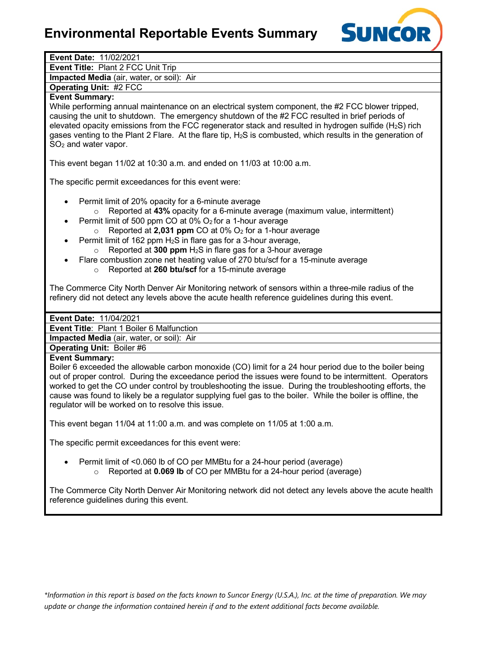# **Environmental Reportable Events Summary**



| Event Date: 11/02/2021                                                                                                  |
|-------------------------------------------------------------------------------------------------------------------------|
| Event Title: Plant 2 FCC Unit Trip                                                                                      |
| Impacted Media (air, water, or soil): Air                                                                               |
| <b>Operating Unit: #2 FCC</b>                                                                                           |
| <b>Event Summary:</b>                                                                                                   |
| While performing annual maintenance on an electrical system component, the #2 FCC blower tripped,                       |
| causing the unit to shutdown. The emergency shutdown of the #2 FCC resulted in brief periods of                         |
| elevated opacity emissions from the FCC regenerator stack and resulted in hydrogen sulfide ( $H_2S$ ) rich              |
| gases venting to the Plant 2 Flare. At the flare tip, H <sub>2</sub> S is combusted, which results in the generation of |
| SO <sub>2</sub> and water vapor.                                                                                        |
|                                                                                                                         |
| This event began 11/02 at 10:30 a.m. and ended on 11/03 at 10:00 a.m.                                                   |
|                                                                                                                         |
| The specific permit exceedances for this event were:                                                                    |
|                                                                                                                         |
| Permit limit of 20% opacity for a 6-minute average<br>$\bullet$                                                         |
| Reported at 43% opacity for a 6-minute average (maximum value, intermittent)<br>$\circ$                                 |
| Permit limit of 500 ppm CO at 0% O2 for a 1-hour average<br>٠                                                           |
| Reported at 2,031 ppm CO at 0% O <sub>2</sub> for a 1-hour average<br>$\circ$                                           |
| Permit limit of 162 ppm H <sub>2</sub> S in flare gas for a 3-hour average,<br>٠                                        |
| Reported at 300 ppm H <sub>2</sub> S in flare gas for a 3-hour average<br>$\circ$                                       |
| Flare combustion zone net heating value of 270 btu/scf for a 15-minute average                                          |
| Reported at 260 btu/scf for a 15-minute average<br>$\circ$                                                              |
|                                                                                                                         |
| The Commerce City North Denver Air Monitoring network of sensors within a three-mile radius of the                      |
| refinery did not detect any levels above the acute health reference guidelines during this event.                       |
|                                                                                                                         |
|                                                                                                                         |
| Event Date: 11/04/2021                                                                                                  |
| Event Title: Plant 1 Boiler 6 Malfunction                                                                               |
| Impacted Media (air, water, or soil): Air                                                                               |
| <b>Operating Unit: Boiler #6</b>                                                                                        |
| <b>Event Summary:</b>                                                                                                   |
| Boiler 6 exceeded the allowable carbon monoxide (CO) limit for a 24 hour period due to the boiler being                 |
| out of proper control. During the exceedance period the issues were found to be intermittent. Operators                 |
| worked to get the CO under control by troubleshooting the issue. During the troubleshooting efforts, the                |
| cause was found to likely be a regulator supplying fuel gas to the boiler. While the boiler is offline, the             |
| regulator will be worked on to resolve this issue.                                                                      |
|                                                                                                                         |
| This event began 11/04 at 11:00 a.m. and was complete on 11/05 at 1:00 a.m.                                             |
|                                                                                                                         |
| The specific permit exceedances for this event were:                                                                    |
|                                                                                                                         |
| Permit limit of <0.060 lb of CO per MMB tu for a 24-hour period (average)                                               |
| Reported at 0.069 lb of CO per MMBtu for a 24-hour period (average)<br>$\circ$                                          |
|                                                                                                                         |
| The Commerce City North Denver Air Monitoring network did not detect any levels above the acute health                  |
| reference guidelines during this event.                                                                                 |
|                                                                                                                         |
|                                                                                                                         |

*\*Information in this report is based on the facts known to Suncor Energy (U.S.A.), Inc. at the time of preparation. We may update or change the information contained herein if and to the extent additional facts become available.*